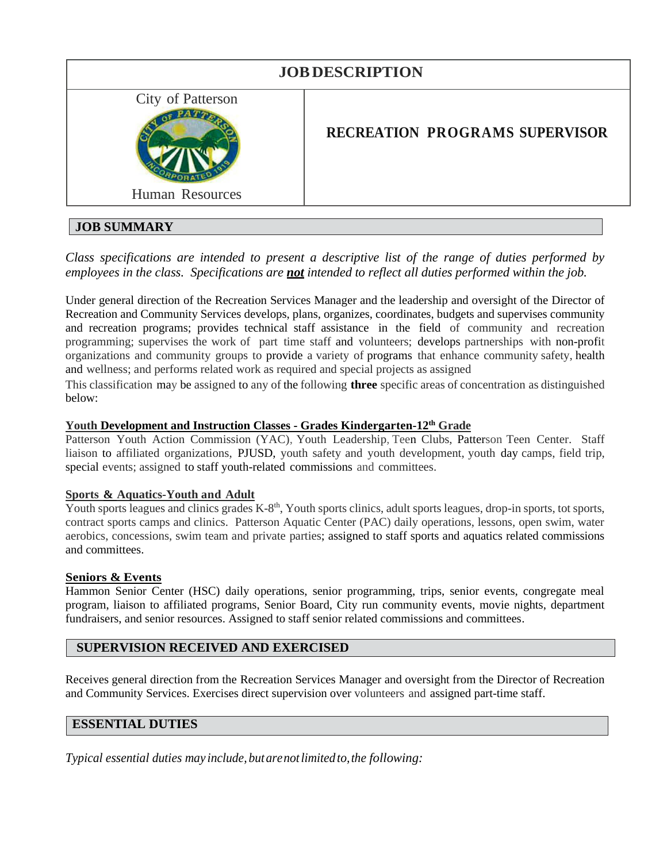| City of Patterson<br><b>RECREATION PROGRAMS SUPERVISOR</b><br><b>Human Resources</b> | <b>JOB DESCRIPTION</b> |  |
|--------------------------------------------------------------------------------------|------------------------|--|
|                                                                                      |                        |  |

# **JOB SUMMARY**

*Class specifications are intended to present a descriptive list of the range of duties performed by employees in the class. Specifications are not intended to reflect all duties performed within the job.*

Under general direction of the Recreation Services Manager and the leadership and oversight of the Director of Recreation and Community Services develops, plans, organizes, coordinates, budgets and supervises community and recreation programs; provides technical staff assistance in the field of community and recreation programming; supervises the work of part time staff and volunteers; develops partnerships with non-profit organizations and community groups to provide a variety of programs that enhance community safety, health and wellness; and performs related work as required and special projects as assigned

This classification may be assigned to any of the following **three** specific areas of concentration as distinguished below:

## **Youth Development and Instruction Classes - Grades Kindergarten-12th Grade**

Patterson Youth Action Commission (YAC), Youth Leadership, Teen Clubs, Patterson Teen Center. Staff liaison to affiliated organizations, PJUSD, youth safety and youth development, youth day camps, field trip, special events; assigned to staff youth-related commissions and committees.

## **Sports & Aquatics-Youth and Adult**

Youth sports leagues and clinics grades K-8<sup>th</sup>, Youth sports clinics, adult sports leagues, drop-in sports, tot sports, contract sports camps and clinics. Patterson Aquatic Center (PAC) daily operations, lessons, open swim, water aerobics, concessions, swim team and private parties; assigned to staff sports and aquatics related commissions and committees.

## **Seniors & Events**

Hammon Senior Center (HSC) daily operations, senior programming, trips, senior events, congregate meal program, liaison to affiliated programs, Senior Board, City run community events, movie nights, department fundraisers, and senior resources. Assigned to staff senior related commissions and committees.

## **SUPERVISION RECEIVED AND EXERCISED**

Receives general direction from the Recreation Services Manager and oversight from the Director of Recreation and Community Services. Exercises direct supervision over volunteers and assigned part-time staff.

## **ESSENTIAL DUTIES**

*Typical essential duties may include, butarenotlimited to,the following:*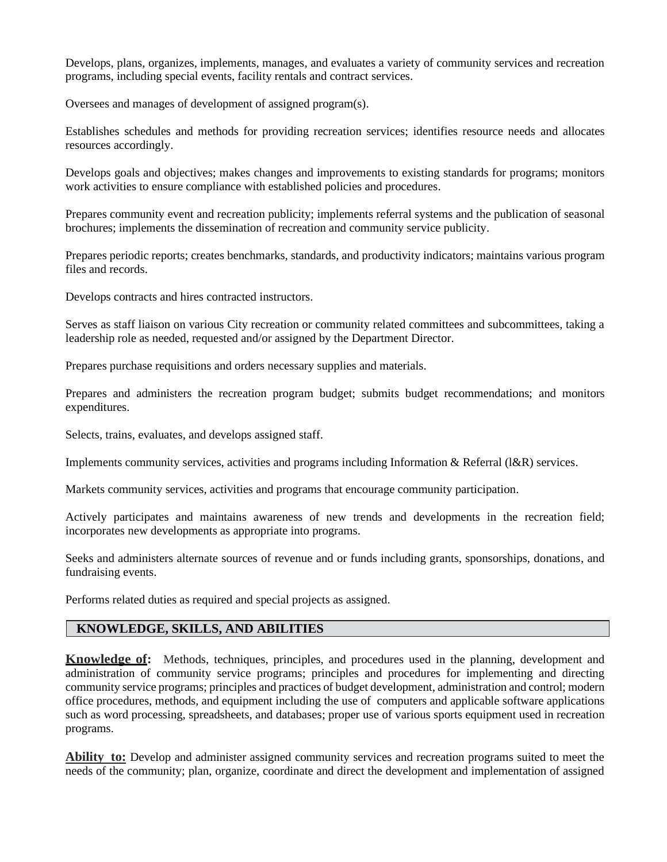Develops, plans, organizes, implements, manages, and evaluates a variety of community services and recreation programs, including special events, facility rentals and contract services.

Oversees and manages of development of assigned program(s).

Establishes schedules and methods for providing recreation services; identifies resource needs and allocates resources accordingly.

Develops goals and objectives; makes changes and improvements to existing standards for programs; monitors work activities to ensure compliance with established policies and procedures.

Prepares community event and recreation publicity; implements referral systems and the publication of seasonal brochures; implements the dissemination of recreation and community service publicity.

Prepares periodic reports; creates benchmarks, standards, and productivity indicators; maintains various program files and records.

Develops contracts and hires contracted instructors.

Serves as staff liaison on various City recreation or community related committees and subcommittees, taking a leadership role as needed, requested and/or assigned by the Department Director.

Prepares purchase requisitions and orders necessary supplies and materials.

Prepares and administers the recreation program budget; submits budget recommendations; and monitors expenditures.

Selects, trains, evaluates, and develops assigned staff.

Implements community services, activities and programs including Information & Referral (l&R) services.

Markets community services, activities and programs that encourage community participation.

Actively participates and maintains awareness of new trends and developments in the recreation field; incorporates new developments as appropriate into programs.

Seeks and administers alternate sources of revenue and or funds including grants, sponsorships, donations, and fundraising events.

Performs related duties as required and special projects as assigned.

## **KNOWLEDGE, SKILLS, AND ABILITIES**

**Knowledge of:** Methods, techniques, principles, and procedures used in the planning, development and administration of community service programs; principles and procedures for implementing and directing community service programs; principles and practices of budget development, administration and control; modern office procedures, methods, and equipment including the use of computers and applicable software applications such as word processing, spreadsheets, and databases; proper use of various sports equipment used in recreation programs.

**Ability to:** Develop and administer assigned community services and recreation programs suited to meet the needs of the community; plan, organize, coordinate and direct the development and implementation of assigned